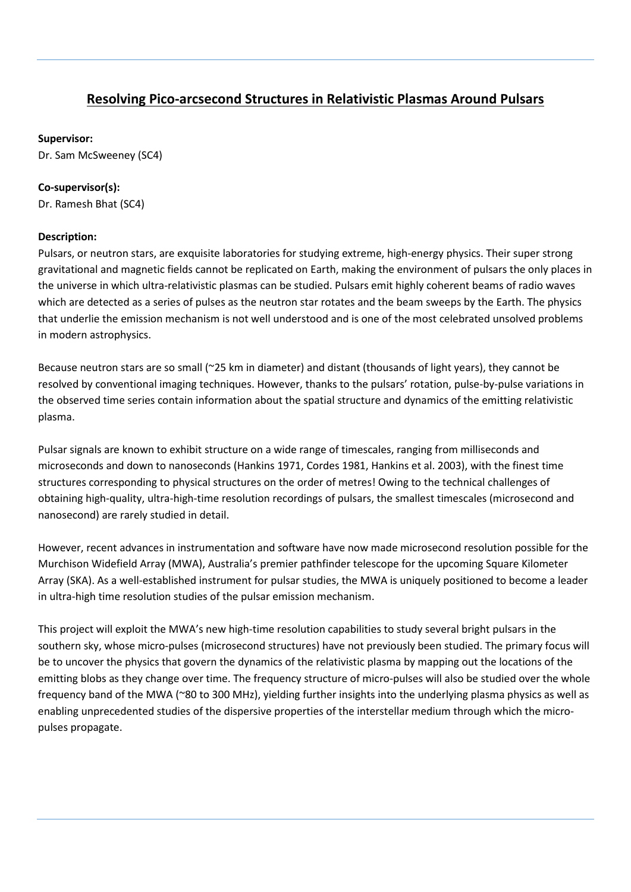## **Resolving Pico-arcsecond Structures in Relativistic Plasmas Around Pulsars**

## **Supervisor:**

Dr. Sam McSweeney (SC4)

## **Co-supervisor(s):**

Dr. Ramesh Bhat (SC4)

## **Description:**

Pulsars, or neutron stars, are exquisite laboratories for studying extreme, high-energy physics. Their super strong gravitational and magnetic fields cannot be replicated on Earth, making the environment of pulsars the only places in the universe in which ultra-relativistic plasmas can be studied. Pulsars emit highly coherent beams of radio waves which are detected as a series of pulses as the neutron star rotates and the beam sweeps by the Earth. The physics that underlie the emission mechanism is not well understood and is one of the most celebrated unsolved problems in modern astrophysics.

Because neutron stars are so small (~25 km in diameter) and distant (thousands of light years), they cannot be resolved by conventional imaging techniques. However, thanks to the pulsars' rotation, pulse-by-pulse variations in the observed time series contain information about the spatial structure and dynamics of the emitting relativistic plasma.

Pulsar signals are known to exhibit structure on a wide range of timescales, ranging from milliseconds and microseconds and down to nanoseconds (Hankins 1971, Cordes 1981, Hankins et al. 2003), with the finest time structures corresponding to physical structures on the order of metres! Owing to the technical challenges of obtaining high-quality, ultra-high-time resolution recordings of pulsars, the smallest timescales (microsecond and nanosecond) are rarely studied in detail.

However, recent advances in instrumentation and software have now made microsecond resolution possible for the Murchison Widefield Array (MWA), Australia's premier pathfinder telescope for the upcoming Square Kilometer Array (SKA). As a well-established instrument for pulsar studies, the MWA is uniquely positioned to become a leader in ultra-high time resolution studies of the pulsar emission mechanism.

This project will exploit the MWA's new high-time resolution capabilities to study several bright pulsars in the southern sky, whose micro-pulses (microsecond structures) have not previously been studied. The primary focus will be to uncover the physics that govern the dynamics of the relativistic plasma by mapping out the locations of the emitting blobs as they change over time. The frequency structure of micro-pulses will also be studied over the whole frequency band of the MWA (~80 to 300 MHz), yielding further insights into the underlying plasma physics as well as enabling unprecedented studies of the dispersive properties of the interstellar medium through which the micropulses propagate.